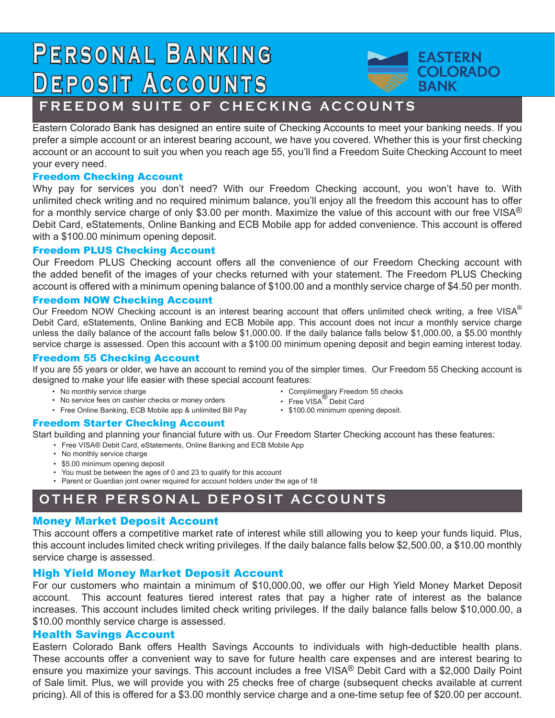# **P e r s o n a l B a n k i n g Deposit Accounts**



# **FREEDOM SUITE OF CHECKING ACCOUNTS**

Eastern Colorado Bank has designed an entire suite of Checking Accounts to meet your banking needs. If you prefer a simple account or an interest bearing account, we have you covered. Whether this is your first checking account or an account to suit you when you reach age 55, you'll find a Freedom Suite Checking Account to meet your every need.

## Freedom Checking Account

Why pay for services you don't need? With our Freedom Checking account, you won't have to. With unlimited check writing and no required minimum balance, you'll enjoy all the freedom this account has to offer for a monthly service charge of only \$3.00 per month. Maximize the value of this account with our free VISA® Debit Card, eStatements, Online Banking and ECB Mobile app for added convenience. This account is offered with a \$100.00 minimum opening deposit.

## Freedom PLUS Checking Account

Our Freedom PLUS Checking account offers all the convenience of our Freedom Checking account with the added benefit of the images of your checks returned with your statement. The Freedom PLUS Checking account is offered with a minimum opening balance of \$100.00 and a monthly service charge of \$4.50 per month.

### Freedom NOW Checking Account

Our Freedom NOW Checking account is an interest bearing account that offers unlimited check writing, a free VISA<sup>®</sup> Debit Card, eStatements, Online Banking and ECB Mobile app. This account does not incur a monthly service charge unless the daily balance of the account falls below \$1,000.00. If the daily balance falls below \$1,000.00, a \$5.00 monthly service charge is assessed. Open this account with a \$100.00 minimum opening deposit and begin earning interest today.

#### Freedom 55 Checking Account

If you are 55 years or older, we have an account to remind you of the simpler times. Our Freedom 55 Checking account is designed to make your life easier with these special account features:

- No monthly service charge
- No service fees on cashier checks or money orders
- Free Online Banking, ECB Mobile app & unlimited Bill Pay
- Complimentary Freedom 55 checks • Free VISA<sup>®</sup> Debit Card
- \$100.00 minimum opening deposit.

# Freedom Starter Checking Account

Start building and planning your financial future with us. Our Freedom Starter Checking account has these features:

- Free VISA® Debit Card, eStatements, Online Banking and ECB Mobile App
	- No monthly service charge
	- \$5.00 minimum opening deposit
	- You must be between the ages of 0 and 23 to qualify for this account
	- Parent or Guardian joint owner required for account holders under the age of 18

# **OTHER PERSONAL DEPOSIT ACCOUNTS**

# Money Market Deposit Account

This account offers a competitive market rate of interest while still allowing you to keep your funds liquid. Plus, this account includes limited check writing privileges. If the daily balance falls below \$2,500.00, a \$10.00 monthly service charge is assessed.

# High Yield Money Market Deposit Account

For our customers who maintain a minimum of \$10,000.00, we offer our High Yield Money Market Deposit account. This account features tiered interest rates that pay a higher rate of interest as the balance increases. This account includes limited check writing privileges. If the daily balance falls below \$10,000.00, a \$10.00 monthly service charge is assessed.

# Health Savings Account

Eastern Colorado Bank offers Health Savings Accounts to individuals with high-deductible health plans. These accounts offer a convenient way to save for future health care expenses and are interest bearing to ensure you maximize your savings. This account includes a free VISA® Debit Card with a \$2,000 Daily Point of Sale limit. Plus, we will provide you with 25 checks free of charge (subsequent checks available at current pricing). All of this is offered for a \$3.00 monthly service charge and a one-time setup fee of \$20.00 per account.